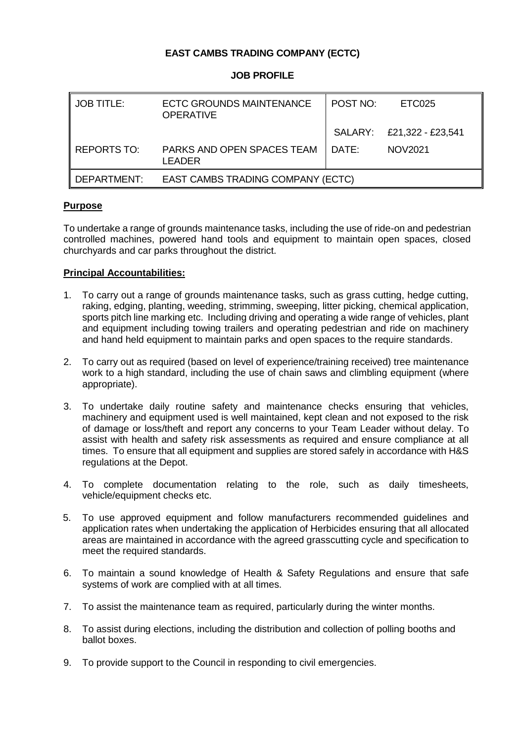# **EAST CAMBS TRADING COMPANY (ECTC)**

### **JOB PROFILE**

| I JOB TITLE:  | <b>ECTC GROUNDS MAINTENANCE</b><br><b>OPERATIVE</b> | POST NO:            | ETC025                    |
|---------------|-----------------------------------------------------|---------------------|---------------------------|
|               |                                                     |                     | SALARY: £21,322 - £23,541 |
| l REPORTS TO: | PARKS AND OPEN SPACES TEAM<br>LEADER                | ∣ DATF <sup>.</sup> | <b>NOV2021</b>            |
| l DEPARTMENT: | EAST CAMBS TRADING COMPANY (ECTC)                   |                     |                           |

## **Purpose**

To undertake a range of grounds maintenance tasks, including the use of ride-on and pedestrian controlled machines, powered hand tools and equipment to maintain open spaces, closed churchyards and car parks throughout the district.

### **Principal Accountabilities:**

- 1. To carry out a range of grounds maintenance tasks, such as grass cutting, hedge cutting, raking, edging, planting, weeding, strimming, sweeping, litter picking, chemical application, sports pitch line marking etc. Including driving and operating a wide range of vehicles, plant and equipment including towing trailers and operating pedestrian and ride on machinery and hand held equipment to maintain parks and open spaces to the require standards.
- 2. To carry out as required (based on level of experience/training received) tree maintenance work to a high standard, including the use of chain saws and climbling equipment (where appropriate).
- 3. To undertake daily routine safety and maintenance checks ensuring that vehicles, machinery and equipment used is well maintained, kept clean and not exposed to the risk of damage or loss/theft and report any concerns to your Team Leader without delay. To assist with health and safety risk assessments as required and ensure compliance at all times. To ensure that all equipment and supplies are stored safely in accordance with H&S regulations at the Depot.
- 4. To complete documentation relating to the role, such as daily timesheets, vehicle/equipment checks etc.
- 5. To use approved equipment and follow manufacturers recommended guidelines and application rates when undertaking the application of Herbicides ensuring that all allocated areas are maintained in accordance with the agreed grasscutting cycle and specification to meet the required standards.
- 6. To maintain a sound knowledge of Health & Safety Regulations and ensure that safe systems of work are complied with at all times.
- 7. To assist the maintenance team as required, particularly during the winter months.
- 8. To assist during elections, including the distribution and collection of polling booths and ballot boxes.
- 9. To provide support to the Council in responding to civil emergencies.